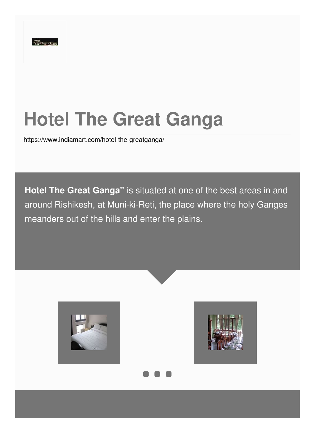# **Hotel The Great Ganga**

<https://www.indiamart.com/hotel-the-greatganga/>

**Hotel The Great Ganga"** is situated at one of the best areas in and around Rishikesh, at Muni-ki-Reti, the place where the holy Ganges meanders out of the hills and enter the plains.

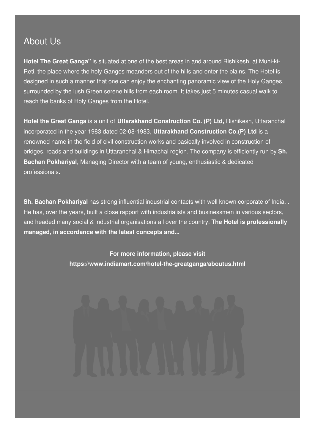### About Us

**Hotel The Great Ganga"** is situated at one of the best areas in and around Rishikesh, at Muni-ki-Reti, the place where the holy Ganges meanders out of the hills and enter the plains. The Hotel is designed in such a manner that one can enjoy the enchanting panoramic view of the Holy Ganges, surrounded by the lush Green serene hills from each room. It takes just 5 minutes casual walk to reach the banks of Holy Ganges from the Hotel.

**Hotel the Great Ganga** is a unit of **Uttarakhand Construction Co. (P) Ltd,** Rishikesh, Uttaranchal incorporated in the year 1983 dated 02-08-1983, **Uttarakhand Construction Co.(P) Ltd** is a renowned name in the field of civil construction works and basically involved in construction of bridges, roads and buildings in Uttaranchal & Himachal region. The company is efficiently run by **Sh. Bachan Pokhariyal**, Managing Director with a team of young, enthusiastic & dedicated professionals.

**Sh. Bachan Pokhariyal** has strong influential industrial contacts with well known corporate of India. . He has, over the years, built a close rapport with industrialists and businessmen in various sectors, and headed many social & industrial organisations all over the country. **The Hotel is professionally managed, in accordance with the latest concepts and...**

> **For more information, please visit <https://www.indiamart.com/hotel-the-greatganga/aboutus.html>**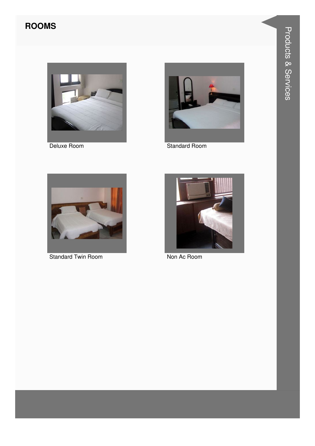### **ROOMS**



Deluxe Room



**Standard Room** 



Standard Twin Room



Non Ac Room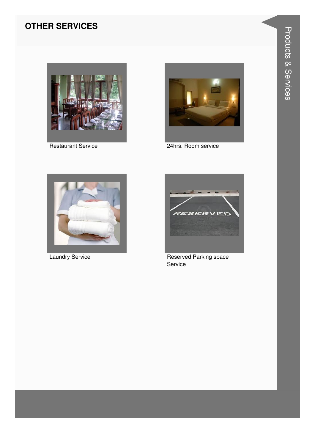#### **OTHER SERVICES**



**Restaurant Service** 



24hrs. Room service



**Laundry Service** 



Reserved Parking space Service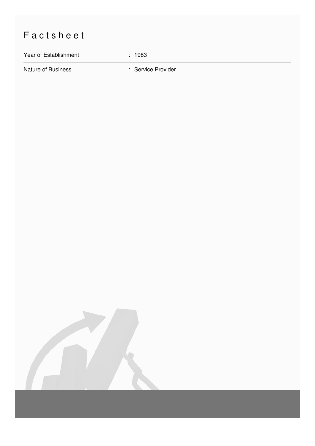## Factsheet

Year of Establishment : 1983

Nature of Business **in American Service Provider** : Service Provider